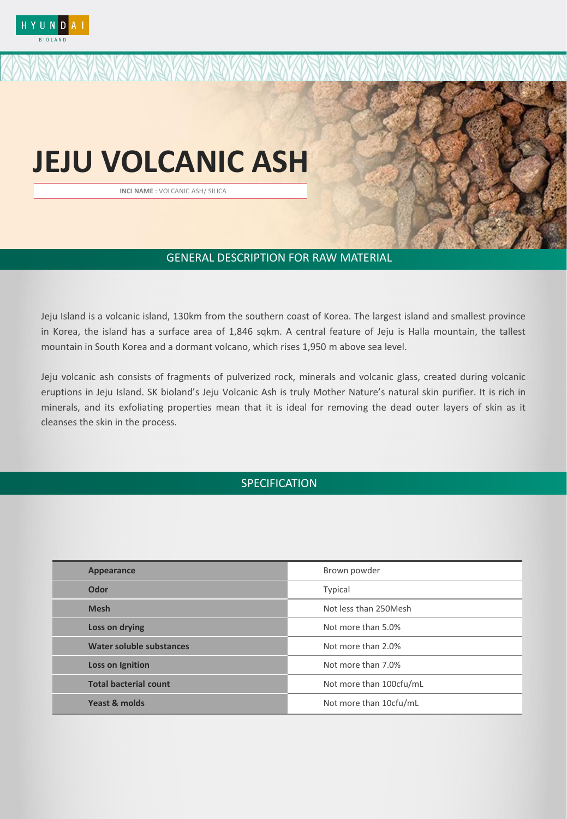

# **JEJU VOLCANIC ASH**

<u> ISO KONSON SOKON SO</u>

INCI NAME : WATER / GLYCERIN / PROPANDIOL / BETA-GLUCAN / PENOXYETHANOL / EHTYLHEXYLGLYCERIN **INCI NAME** : VOLCANIC ASH/ SILICA

## GENERAL DESCRIPTION FOR RAW MATERIAL

Jeju Island is a volcanic island, 130km from the southern coast of Korea. The largest island and smallest province in Korea, the island has a surface area of 1,846 sqkm. A central feature of Jeju is Halla mountain, the tallest mountain in South Korea and a dormant volcano, which rises 1,950 m above sea level.

Jeju volcanic ash consists of fragments of pulverized rock, minerals and volcanic glass, created during volcanic eruptions in Jeju Island. SK bioland's Jeju Volcanic Ash is truly Mother Nature's natural skin purifier. It is rich in minerals, and its exfoliating properties mean that it is ideal for removing the dead outer layers of skin as it cleanses the skin in the process.

# **SPECIFICATION**

| Appearance                   | Brown powder            |
|------------------------------|-------------------------|
| Odor                         | Typical                 |
| <b>Mesh</b>                  | Not less than 250 Mesh  |
| Loss on drying               | Not more than 5.0%      |
| Water soluble substances     | Not more than 2.0%      |
| <b>Loss on Ignition</b>      | Not more than 7.0%      |
| <b>Total bacterial count</b> | Not more than 100cfu/mL |
| Yeast & molds                | Not more than 10cfu/mL  |
|                              |                         |